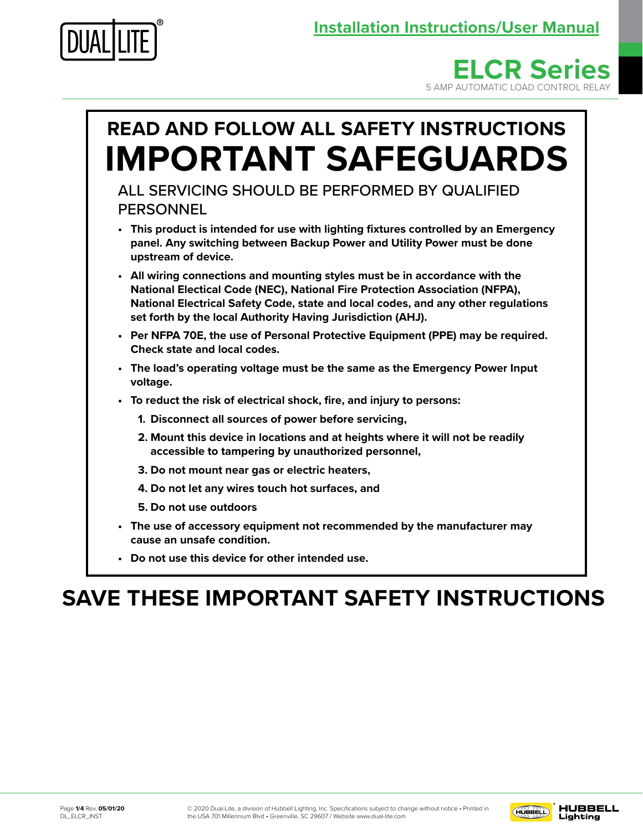





**• Do not use this device for other intended use.**

# **SAVE THESE IMPORTANT SAFETY INSTRUCTIONS**

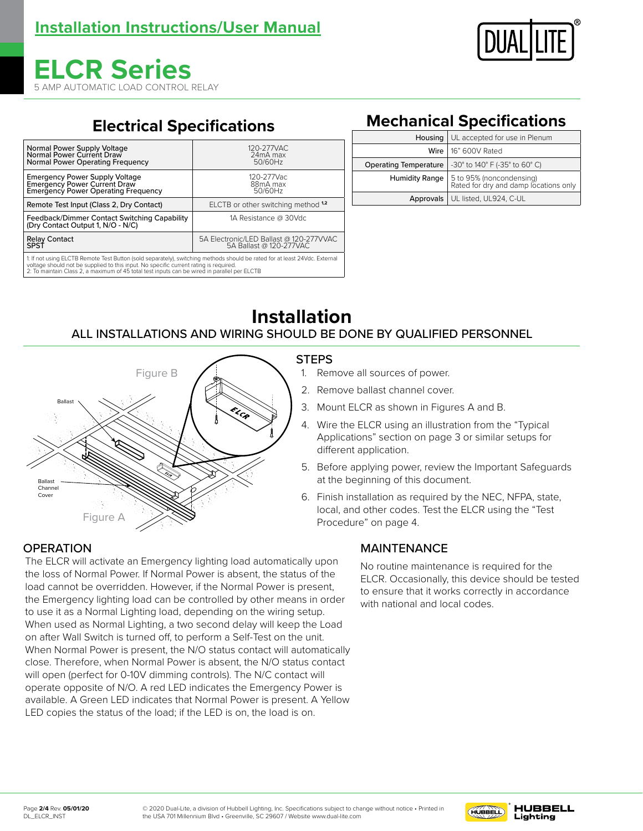

# **ELCR Series** 5 AMP AUTOMATIC LOAD CONTROL RELAY

# **Electrical Specifications**

| Normal Power Supply Voltage                                                                                                                                                                                                                                                                                         | 120-277VAC                              |  |
|---------------------------------------------------------------------------------------------------------------------------------------------------------------------------------------------------------------------------------------------------------------------------------------------------------------------|-----------------------------------------|--|
| Normal Power Current Draw                                                                                                                                                                                                                                                                                           | 24mA max                                |  |
| Normal Power Operating Frequency                                                                                                                                                                                                                                                                                    | 50/60Hz                                 |  |
| <b>Emergency Power Supply Voltage</b>                                                                                                                                                                                                                                                                               | 120-277Vac                              |  |
| <b>Emergency Power Current Draw</b>                                                                                                                                                                                                                                                                                 | 88mA max                                |  |
| <b>Emergency Power Operating Frequency</b>                                                                                                                                                                                                                                                                          | 50/60Hz                                 |  |
| Remote Test Input (Class 2, Dry Contact)                                                                                                                                                                                                                                                                            | ELCTB or other switching method 1,2     |  |
| Feedback/Dimmer Contact Switching Capability<br>(Dry Contact Output 1, N/O - N/C)                                                                                                                                                                                                                                   | 1A Resistance @ 30Vdc                   |  |
| <b>Relay Contact</b>                                                                                                                                                                                                                                                                                                | 5A Electronic/LED Ballast @ 120-277VVAC |  |
| SPSÍ                                                                                                                                                                                                                                                                                                                | 5A Ballast @ 120-277VAC                 |  |
| 1: If not using ELCTB Remote Test Button (sold separately), switching methods should be rated for at least 24Vdc. External<br>voltage should not be supplied to this input. No specific current rating is required.<br>2: To maintain Class 2, a maximum of 45 total test inputs can be wired in parallel per ELCTB |                                         |  |

# **Mechanical Specifications**

| Housing   UL accepted for use in Plenum |                                                                                         |
|-----------------------------------------|-----------------------------------------------------------------------------------------|
|                                         | Wire   16" 600V Rated                                                                   |
| <b>Operating Temperature</b>            | -30° to 140° F (-35° to 60° C)                                                          |
|                                         | <b>Humidity Range</b> 5 to 95% (noncondensing)<br>Rated for dry and damp locations only |
|                                         | Approvals   UL listed, UL924, C-UL                                                      |

# **Installation** ALL INSTALLATIONS AND WIRING SHOULD BE DONE BY QUALIFIED PERSONNEL



## **STEPS**

- 1. Remove all sources of power.
- 2. Remove ballast channel cover.
- 3. Mount ELCR as shown in Figures A and B.
- 4. Wire the ELCR using an illustration from the "Typical Applications" section on page 3 or similar setups for different application.
- 5. Before applying power, review the Important Safeguards at the beginning of this document.
- 6. Finish installation as required by the NEC, NFPA, state, local, and other codes. Test the ELCR using the "Test Procedure" on page 4.

## MAINTENANCE

No routine maintenance is required for the ELCR. Occasionally, this device should be tested to ensure that it works correctly in accordance with national and local codes.

## **OPERATION**

The ELCR will activate an Emergency lighting load automatically upon the loss of Normal Power. If Normal Power is absent, the status of the load cannot be overridden. However, if the Normal Power is present, the Emergency lighting load can be controlled by other means in order to use it as a Normal Lighting load, depending on the wiring setup. When used as Normal Lighting, a two second delay will keep the Load on after Wall Switch is turned off, to perform a Self-Test on the unit. When Normal Power is present, the N/O status contact will automatically close. Therefore, when Normal Power is absent, the N/O status contact will open (perfect for 0-10V dimming controls). The N/C contact will operate opposite of N/O. A red LED indicates the Emergency Power is available. A Green LED indicates that Normal Power is present. A Yellow LED copies the status of the load; if the LED is on, the load is on.

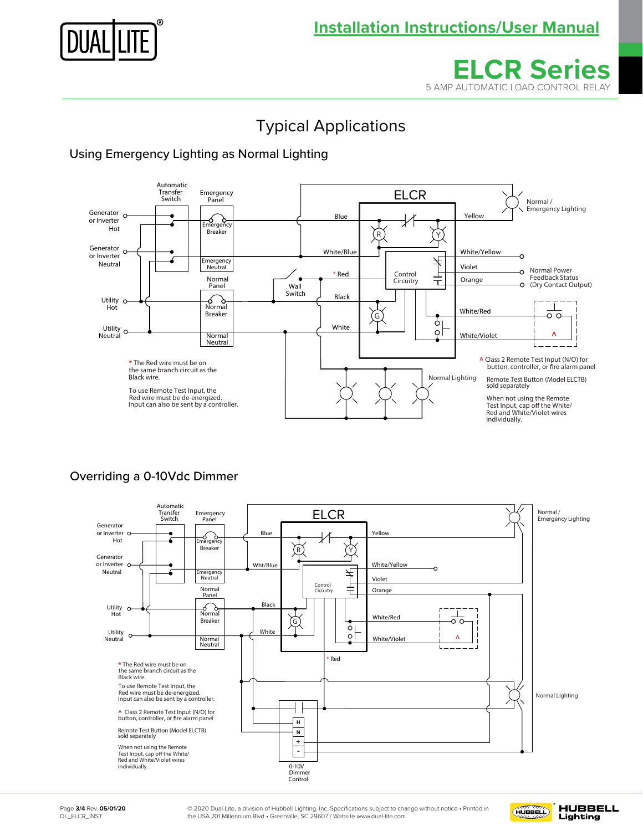



# Typical Applications

## Using Emergency Lighting as Normal Lighting



#### Overriding a 0-10Vdc Dimmer